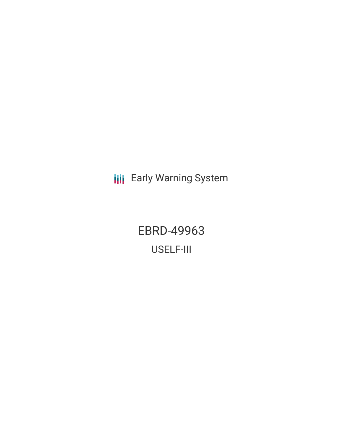**III** Early Warning System

EBRD-49963 USELF-III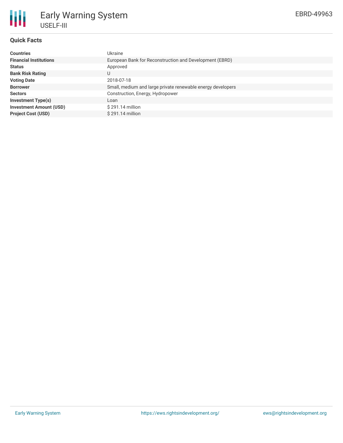

# Early Warning System USELF-III

## **Quick Facts**

| <b>Countries</b>               | Ukraine                                                     |
|--------------------------------|-------------------------------------------------------------|
|                                |                                                             |
| <b>Financial Institutions</b>  | European Bank for Reconstruction and Development (EBRD)     |
| <b>Status</b>                  | Approved                                                    |
| <b>Bank Risk Rating</b>        | U                                                           |
| <b>Voting Date</b>             | 2018-07-18                                                  |
| <b>Borrower</b>                | Small, medium and large private renewable energy developers |
| <b>Sectors</b>                 | Construction, Energy, Hydropower                            |
| <b>Investment Type(s)</b>      | Loan                                                        |
| <b>Investment Amount (USD)</b> | $$291.14$ million                                           |
| <b>Project Cost (USD)</b>      | $$291.14$ million                                           |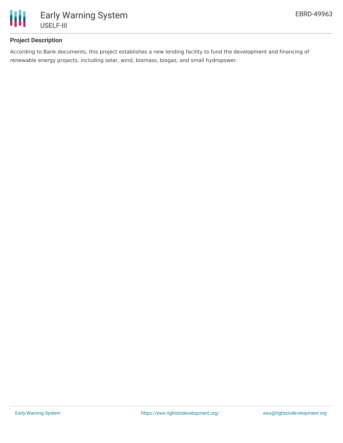

# **Project Description**

According to Bank documents, this project establishes a new lending facility to fund the development and financing of renewable energy projects, including solar, wind, biomass, biogas, and small hydropower.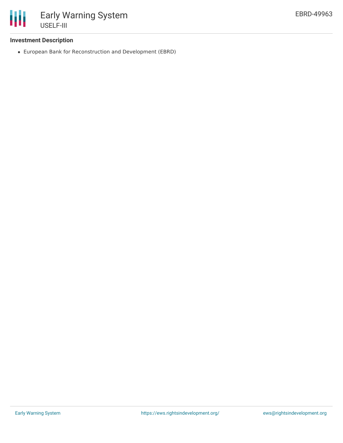

## **Investment Description**

European Bank for Reconstruction and Development (EBRD)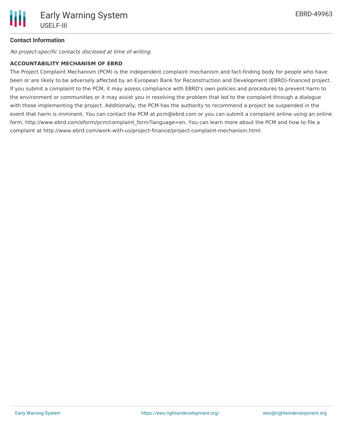# **Contact Information**

No project-specific contacts disclosed at time of writing.

#### **ACCOUNTABILITY MECHANISM OF EBRD**

The Project Complaint Mechanism (PCM) is the independent complaint mechanism and fact-finding body for people who have been or are likely to be adversely affected by an European Bank for Reconstruction and Development (EBRD)-financed project. If you submit a complaint to the PCM, it may assess compliance with EBRD's own policies and procedures to prevent harm to the environment or communities or it may assist you in resolving the problem that led to the complaint through a dialogue with those implementing the project. Additionally, the PCM has the authority to recommend a project be suspended in the event that harm is imminent. You can contact the PCM at pcm@ebrd.com or you can submit a complaint online using an online form, http://www.ebrd.com/eform/pcm/complaint\_form?language=en. You can learn more about the PCM and how to file a complaint at http://www.ebrd.com/work-with-us/project-finance/project-complaint-mechanism.html.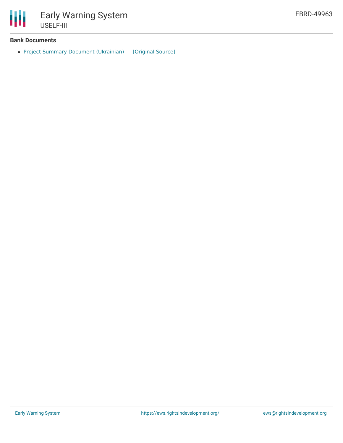

#### **Bank Documents**

• Project Summary Document [\(Ukrainian\)](https://ewsdata.rightsindevelopment.org/files/documents/63/EBRD-49963.pdf) [\[Original](https://www.ebrd.com/cs/Satellite?c=Content&cid=1395275924754&d=&pagename=EBRD%2FContent%2FDownloadDocument) Source]